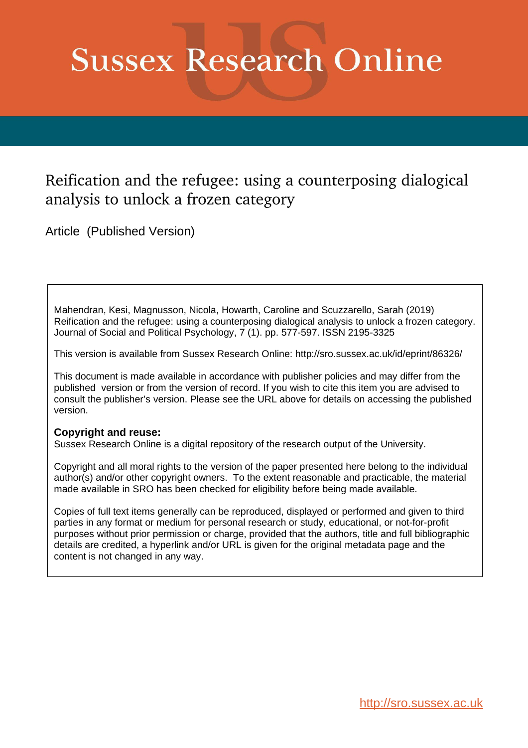# **Sussex Research Online**

# Reification and the refugee: using a counterposing dialogical analysis to unlock a frozen category

Article (Published Version)

Mahendran, Kesi, Magnusson, Nicola, Howarth, Caroline and Scuzzarello, Sarah (2019) Reification and the refugee: using a counterposing dialogical analysis to unlock a frozen category. Journal of Social and Political Psychology, 7 (1). pp. 577-597. ISSN 2195-3325

This version is available from Sussex Research Online: http://sro.sussex.ac.uk/id/eprint/86326/

This document is made available in accordance with publisher policies and may differ from the published version or from the version of record. If you wish to cite this item you are advised to consult the publisher's version. Please see the URL above for details on accessing the published version.

# **Copyright and reuse:**

Sussex Research Online is a digital repository of the research output of the University.

Copyright and all moral rights to the version of the paper presented here belong to the individual author(s) and/or other copyright owners. To the extent reasonable and practicable, the material made available in SRO has been checked for eligibility before being made available.

Copies of full text items generally can be reproduced, displayed or performed and given to third parties in any format or medium for personal research or study, educational, or not-for-profit purposes without prior permission or charge, provided that the authors, title and full bibliographic details are credited, a hyperlink and/or URL is given for the original metadata page and the content is not changed in any way.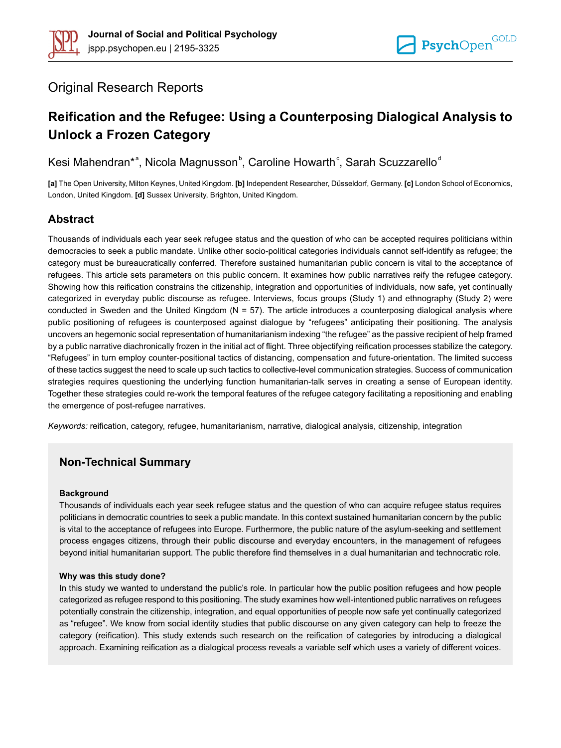

# Original Research Reports

# **Reification and the Refugee: Using a Counterposing Dialogical Analysis to Unlock a Frozen Category**

Kesi Mahendran\*<sup>a</sup>, Nicola Magnusson<sup>b</sup>, Caroline Howarth<sup>c</sup>, Sarah Scuzzarello<sup>d</sup>

**[a]** The Open University, Milton Keynes, United Kingdom. **[b]** Independent Researcher, Düsseldorf, Germany. **[c]** London School of Economics, London, United Kingdom. **[d]** Sussex University, Brighton, United Kingdom.

# **Abstract**

Thousands of individuals each year seek refugee status and the question of who can be accepted requires politicians within democracies to seek a public mandate. Unlike other socio-political categories individuals cannot self-identify as refugee; the category must be bureaucratically conferred. Therefore sustained humanitarian public concern is vital to the acceptance of refugees. This article sets parameters on this public concern. It examines how public narratives reify the refugee category. Showing how this reification constrains the citizenship, integration and opportunities of individuals, now safe, yet continually categorized in everyday public discourse as refugee. Interviews, focus groups (Study 1) and ethnography (Study 2) were conducted in Sweden and the United Kingdom ( $N = 57$ ). The article introduces a counterposing dialogical analysis where public positioning of refugees is counterposed against dialogue by "refugees" anticipating their positioning. The analysis uncovers an hegemonic social representation of humanitarianism indexing "the refugee" as the passive recipient of help framed by a public narrative diachronically frozen in the initial act of flight. Three objectifying reification processes stabilize the category. "Refugees" in turn employ counter-positional tactics of distancing, compensation and future-orientation. The limited success of these tactics suggest the need to scale up such tactics to collective-level communication strategies. Success of communication strategies requires questioning the underlying function humanitarian-talk serves in creating a sense of European identity. Together these strategies could re-work the temporal features of the refugee category facilitating a repositioning and enabling the emergence of post-refugee narratives.

*Keywords:* reification, category, refugee, humanitarianism, narrative, dialogical analysis, citizenship, integration

# **Non-Technical Summary**

#### **Background**

Thousands of individuals each year seek refugee status and the question of who can acquire refugee status requires politicians in democratic countries to seek a public mandate. In this context sustained humanitarian concern by the public is vital to the acceptance of refugees into Europe. Furthermore, the public nature of the asylum-seeking and settlement process engages citizens, through their public discourse and everyday encounters, in the management of refugees beyond initial humanitarian support. The public therefore find themselves in a dual humanitarian and technocratic role.

#### **Why was this study done?**

In this study we wanted to understand the public's role. In particular how the public position refugees and how people categorized as refugee respond to this positioning. The study examines how well-intentioned public narratives on refugees potentially constrain the citizenship, integration, and equal opportunities of people now safe yet continually categorized as "refugee". We know from social identity studies that public discourse on any given category can help to freeze the category (reification). This study extends such research on the reification of categories by introducing a dialogical approach. Examining reification as a dialogical process reveals a variable self which uses a variety of different voices.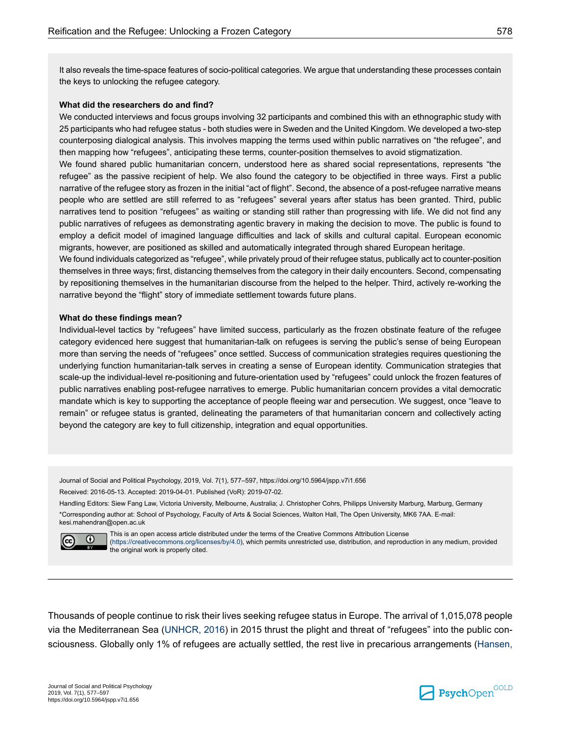It also reveals the time-space features of socio-political categories. We argue that understanding these processes contain the keys to unlocking the refugee category.

#### **What did the researchers do and find?**

We conducted interviews and focus groups involving 32 participants and combined this with an ethnographic study with 25 participants who had refugee status - both studies were in Sweden and the United Kingdom. We developed a two-step counterposing dialogical analysis. This involves mapping the terms used within public narratives on "the refugee", and then mapping how "refugees", anticipating these terms, counter-position themselves to avoid stigmatization.

We found shared public humanitarian concern, understood here as shared social representations, represents "the refugee" as the passive recipient of help. We also found the category to be objectified in three ways. First a public narrative of the refugee story as frozen in the initial "act of flight". Second, the absence of a post-refugee narrative means people who are settled are still referred to as "refugees" several years after status has been granted. Third, public narratives tend to position "refugees" as waiting or standing still rather than progressing with life. We did not find any public narratives of refugees as demonstrating agentic bravery in making the decision to move. The public is found to employ a deficit model of imagined language difficulties and lack of skills and cultural capital. European economic migrants, however, are positioned as skilled and automatically integrated through shared European heritage.

We found individuals categorized as "refugee", while privately proud of their refugee status, publically act to counter-position themselves in three ways; first, distancing themselves from the category in their daily encounters. Second, compensating by repositioning themselves in the humanitarian discourse from the helped to the helper. Third, actively re-working the narrative beyond the "flight" story of immediate settlement towards future plans.

#### **What do these findings mean?**

Individual-level tactics by "refugees" have limited success, particularly as the frozen obstinate feature of the refugee category evidenced here suggest that humanitarian-talk on refugees is serving the public's sense of being European more than serving the needs of "refugees" once settled. Success of communication strategies requires questioning the underlying function humanitarian-talk serves in creating a sense of European identity. Communication strategies that scale-up the individual-level re-positioning and future-orientation used by "refugees" could unlock the frozen features of public narratives enabling post-refugee narratives to emerge. Public humanitarian concern provides a vital democratic mandate which is key to supporting the acceptance of people fleeing war and persecution. We suggest, once "leave to remain" or refugee status is granted, delineating the parameters of that humanitarian concern and collectively acting beyond the category are key to full citizenship, integration and equal opportunities.

Journal of Social and Political Psychology, 2019, Vol. 7(1), 577–597, https://doi.org/10.5964/jspp.v7i1.656 Received: 2016-05-13. Accepted: 2019-04-01. Published (VoR): 2019-07-02.

Handling Editors: Siew Fang Law, Victoria University, Melbourne, Australia; J. Christopher Cohrs, Philipps University Marburg, Marburg, Germany \*Corresponding author at: School of Psychology, Faculty of Arts & Social Sciences, Walton Hall, The Open University, MK6 7AA. E-mail: kesi.mahendran@open.ac.uk



This is an open access article distributed under the terms of the Creative Commons Attribution License [\(https://creativecommons.org/licenses/by/4.0](https://creativecommons.org/licenses/by/4.0)), which permits unrestricted use, distribution, and reproduction in any medium, provided the original work is properly cited.

Thousands of people continue to risk their lives seeking refugee status in Europe. The arrival of 1,015,078 people via the Mediterranean Sea ([UNHCR,](#page-21-0) 2016) in 2015 thrust the plight and threat of "refugees" into the public consciousness. Globally only 1% of refugees are actually settled, the rest live in precarious arrangements [\(Hansen,](#page-19-0)

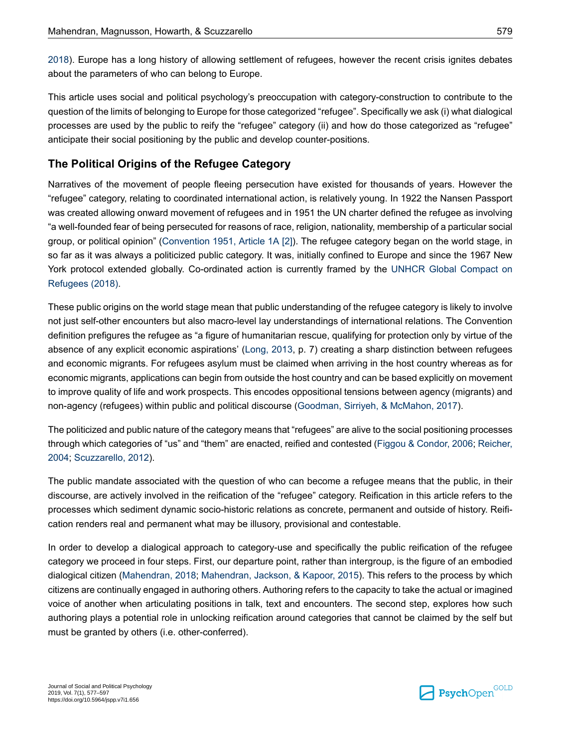[2018](#page-19-0)). Europe has a long history of allowing settlement of refugees, however the recent crisis ignites debates about the parameters of who can belong to Europe.

This article uses social and political psychology's preoccupation with category-construction to contribute to the question of the limits of belonging to Europe for those categorized "refugee". Specifically we ask (i) what dialogical processes are used by the public to reify the "refugee" category (ii) and how do those categorized as "refugee" anticipate their social positioning by the public and develop counter-positions.

# **The Political Origins of the Refugee Category**

Narratives of the movement of people fleeing persecution have existed for thousands of years. However the "refugee" category, relating to coordinated international action, is relatively young. In 1922 the Nansen Passport was created allowing onward movement of refugees and in 1951 the UN charter defined the refugee as involving "a well-founded fear of being persecuted for reasons of race, religion, nationality, membership of a particular social group, or political opinion" [\(Convention](#page-19-1) 1951, Article 1A [2]). The refugee category began on the world stage, in so far as it was always a politicized public category. It was, initially confined to Europe and since the 1967 New York protocol extended globally. Co-ordinated action is currently framed by the UNHCR Global [Compact](#page-21-1) on [Refugees](#page-21-1) (2018).

These public origins on the world stage mean that public understanding of the refugee category is likely to involve not just self-other encounters but also macro-level lay understandings of international relations. The Convention definition prefigures the refugee as "a figure of humanitarian rescue, qualifying for protection only by virtue of the absence of any explicit economic aspirations' [\(Long,](#page-20-0) 2013, p. 7) creating a sharp distinction between refugees and economic migrants. For refugees asylum must be claimed when arriving in the host country whereas as for economic migrants, applications can begin from outside the host country and can be based explicitly on movement to improve quality of life and work prospects. This encodes oppositional tensions between agency (migrants) and non-agency (refugees) within public and political discourse [\(Goodman,](#page-19-2) Sirriyeh, & McMahon, 2017).

The politicized and public nature of the category means that "refugees" are alive to the social positioning processes through which categories of "us" and "them" are enacted, reified and contested (Figgou & [Condor,](#page-19-3) 2006; [Reicher,](#page-21-2) [2004](#page-21-2); [Scuzzarello,](#page-21-3) 2012).

The public mandate associated with the question of who can become a refugee means that the public, in their discourse, are actively involved in the reification of the "refugee" category. Reification in this article refers to the processes which sediment dynamic socio-historic relations as concrete, permanent and outside of history. Reification renders real and permanent what may be illusory, provisional and contestable.

In order to develop a dialogical approach to category-use and specifically the public reification of the refugee category we proceed in four steps. First, our departure point, rather than intergroup, is the figure of an embodied dialogical citizen ([Mahendran,](#page-20-1) 2018; [Mahendran,](#page-20-2) Jackson, & Kapoor, 2015). This refers to the process by which citizens are continually engaged in authoring others. Authoring refers to the capacity to take the actual or imagined voice of another when articulating positions in talk, text and encounters. The second step, explores how such authoring plays a potential role in unlocking reification around categories that cannot be claimed by the self but must be granted by others (i.e. other-conferred).

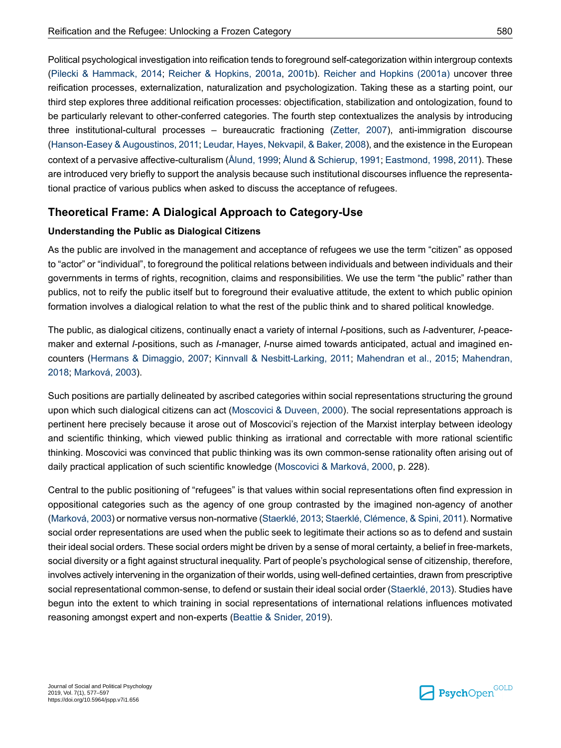Political psychological investigation into reification tends to foreground self-categorization within intergroup contexts (Pilecki & [Hammack,](#page-20-3) 2014; Reicher & [Hopkins,](#page-21-4) 2001a, [2001b\)](#page-21-5). Reicher and [Hopkins](#page-21-4) (2001a) uncover three reification processes, externalization, naturalization and psychologization. Taking these as a starting point, our third step explores three additional reification processes: objectification, stabilization and ontologization, found to be particularly relevant to other-conferred categories. The fourth step contextualizes the analysis by introducing three institutional-cultural processes – bureaucratic fractioning [\(Zetter,](#page-21-6) 2007), anti-immigration discourse [\(Hanson-Easey](#page-19-4) & Augoustinos, 2011; Leudar, Hayes, [Nekvapil,](#page-20-4) & Baker, 2008), and the existence in the European context of a pervasive affective-culturalism ([Ålund,](#page-18-0) 1999; Ålund & [Schierup,](#page-18-1) 1991; [Eastmond,](#page-19-5) 1998, [2011](#page-19-6)). These are introduced very briefly to support the analysis because such institutional discourses influence the representational practice of various publics when asked to discuss the acceptance of refugees.

# **Theoretical Frame: A Dialogical Approach to Category-Use**

#### **Understanding the Public as Dialogical Citizens**

As the public are involved in the management and acceptance of refugees we use the term "citizen" as opposed to "actor" or "individual", to foreground the political relations between individuals and between individuals and their governments in terms of rights, recognition, claims and responsibilities. We use the term "the public" rather than publics, not to reify the public itself but to foreground their evaluative attitude, the extent to which public opinion formation involves a dialogical relation to what the rest of the public think and to shared political knowledge.

The public, as dialogical citizens, continually enact a variety of internal *I*-positions, such as *I*-adventurer, *I*-peacemaker and external *I*-positions, such as *I*-manager, *I*-nurse aimed towards anticipated, actual and imagined encounters (Hermans & [Dimaggio,](#page-19-7) 2007; Kinnvall & [Nesbitt-Larking,](#page-20-5) 2011; [Mahendran](#page-20-2) et al., 2015; [Mahendran,](#page-20-1) [2018](#page-20-1); [Marková,](#page-20-6) 2003).

Such positions are partially delineated by ascribed categories within social representations structuring the ground upon which such dialogical citizens can act [\(Moscovici](#page-20-7) & Duveen, 2000). The social representations approach is pertinent here precisely because it arose out of Moscovici's rejection of the Marxist interplay between ideology and scientific thinking, which viewed public thinking as irrational and correctable with more rational scientific thinking. Moscovici was convinced that public thinking was its own common-sense rationality often arising out of daily practical application of such scientific knowledge ([Moscovici](#page-20-8) & Marková, 2000, p. 228).

Central to the public positioning of "refugees" is that values within social representations often find expression in oppositional categories such as the agency of one group contrasted by the imagined non-agency of another (Marková, 2003) or normative versus non-normative (Staerklé, 2013; Staerklé, Clémence, & Spini, 2011). Normative social order representations are used when the public seek to legitimate their actions so as to defend and sustain their ideal social orders. These social orders might be driven by a sense of moral certainty, a belief in free-markets, social diversity or a fight against structural inequality. Part of people's psychological sense of citizenship, therefore, involves actively intervening in the organization of their worlds, using well-defined certainties, drawn from prescriptive social representational common-sense, to defend or sustain their ideal social order [\(Staerklé,](#page-21-7) 2013). Studies have begun into the extent to which training in social representations of international relations influences motivated reasoning amongst expert and non-experts (Beattie & [Snider,](#page-18-2) 2019).

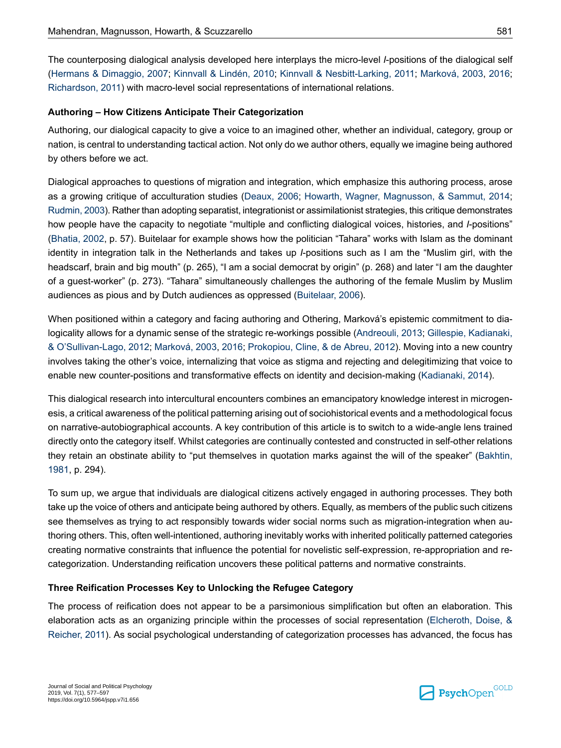The counterposing dialogical analysis developed here interplays the micro-level *I*-positions of the dialogical self (Hermans & [Dimaggio,](#page-19-7) 2007; [Kinnvall](#page-20-9) & Lindén, 2010; Kinnvall & [Nesbitt-Larking,](#page-20-5) 2011; [Marková,](#page-20-6) 2003, [2016](#page-20-10); [Richardson,](#page-21-9) 2011) with macro-level social representations of international relations.

#### **Authoring – How Citizens Anticipate Their Categorization**

Authoring, our dialogical capacity to give a voice to an imagined other, whether an individual, category, group or nation, is central to understanding tactical action. Not only do we author others, equally we imagine being authored by others before we act.

Dialogical approaches to questions of migration and integration, which emphasize this authoring process, arose as a growing critique of acculturation studies [\(Deaux,](#page-19-8) 2006; Howarth, Wagner, [Magnusson,](#page-20-11) & Sammut, 2014; Rudmin, 2003). Rather than adopting separatist, integrationist or assimilationist strategies, this critique demonstrates how people have the capacity to negotiate "multiple and conflicting dialogical voices, histories, and *I*-positions" [\(Bhatia,](#page-18-3) 2002, p. 57). Buitelaar for example shows how the politician "Tahara" works with Islam as the dominant identity in integration talk in the Netherlands and takes up *I*-positions such as I am the "Muslim girl, with the headscarf, brain and big mouth" (p. 265), "I am a social democrat by origin" (p. 268) and later "I am the daughter of a guest-worker" (p. 273). "Tahara" simultaneously challenges the authoring of the female Muslim by Muslim audiences as pious and by Dutch audiences as oppressed ([Buitelaar,](#page-19-9) 2006).

When positioned within a category and facing authoring and Othering, Marková's epistemic commitment to dialogicality allows for a dynamic sense of the strategic re-workings possible ([Andreouli,](#page-18-4) 2013; Gillespie, [Kadianaki,](#page-19-10) & [O'Sullivan-Lago,](#page-19-10) 2012; [Marková,](#page-20-6) 2003, [2016;](#page-20-10) [Prokopiou,](#page-21-11) Cline, & de Abreu, 2012). Moving into a new country involves taking the other's voice, internalizing that voice as stigma and rejecting and delegitimizing that voice to enable new counter-positions and transformative effects on identity and decision-making [\(Kadianaki,](#page-20-12) 2014).

This dialogical research into intercultural encounters combines an emancipatory knowledge interest in microgenesis, a critical awareness of the political patterning arising out of sociohistorical events and a methodological focus on narrative-autobiographical accounts. A key contribution of this article is to switch to a wide-angle lens trained directly onto the category itself. Whilst categories are continually contested and constructed in self-other relations they retain an obstinate ability to "put themselves in quotation marks against the will of the speaker" [\(Bakhtin,](#page-18-5) [1981](#page-18-5), p. 294).

To sum up, we argue that individuals are dialogical citizens actively engaged in authoring processes. They both take up the voice of others and anticipate being authored by others. Equally, as members of the public such citizens see themselves as trying to act responsibly towards wider social norms such as migration-integration when authoring others. This, often well-intentioned, authoring inevitably works with inherited politically patterned categories creating normative constraints that influence the potential for novelistic self-expression, re-appropriation and recategorization. Understanding reification uncovers these political patterns and normative constraints.

#### **Three Reification Processes Key to Unlocking the Refugee Category**

The process of reification does not appear to be a parsimonious simplification but often an elaboration. This elaboration acts as an organizing principle within the processes of social representation ([Elcheroth,](#page-19-11) Doise, & [Reicher,](#page-19-11) 2011). As social psychological understanding of categorization processes has advanced, the focus has

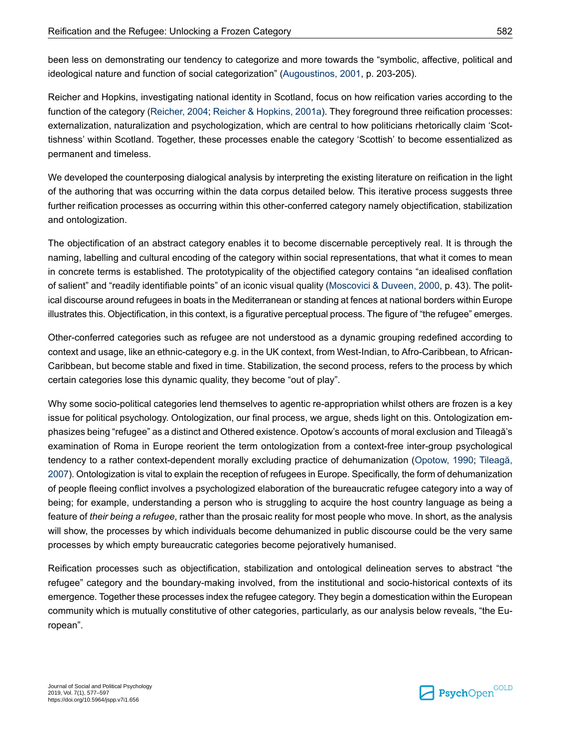been less on demonstrating our tendency to categorize and more towards the "symbolic, affective, political and ideological nature and function of social categorization" [\(Augoustinos,](#page-18-6) 2001, p. 203-205).

Reicher and Hopkins, investigating national identity in Scotland, focus on how reification varies according to the function of the category ([Reicher,](#page-21-2) 2004; Reicher & [Hopkins,](#page-21-4) 2001a). They foreground three reification processes: externalization, naturalization and psychologization, which are central to how politicians rhetorically claim 'Scottishness' within Scotland. Together, these processes enable the category 'Scottish' to become essentialized as permanent and timeless.

We developed the counterposing dialogical analysis by interpreting the existing literature on reification in the light of the authoring that was occurring within the data corpus detailed below. This iterative process suggests three further reification processes as occurring within this other-conferred category namely objectification, stabilization and ontologization.

The objectification of an abstract category enables it to become discernable perceptively real. It is through the naming, labelling and cultural encoding of the category within social representations, that what it comes to mean in concrete terms is established. The prototypicality of the objectified category contains "an idealised conflation of salient" and "readily identifiable points" of an iconic visual quality [\(Moscovici](#page-20-7) & Duveen, 2000, p. 43). The political discourse around refugees in boats in the Mediterranean or standing at fences at national borders within Europe illustrates this. Objectification, in this context, is a figurative perceptual process. The figure of "the refugee" emerges.

Other-conferred categories such as refugee are not understood as a dynamic grouping redefined according to context and usage, like an ethnic-category e.g. in the UK context, from West-Indian, to Afro-Caribbean, to African-Caribbean, but become stable and fixed in time. Stabilization, the second process, refers to the process by which certain categories lose this dynamic quality, they become "out of play".

Why some socio-political categories lend themselves to agentic re-appropriation whilst others are frozen is a key issue for political psychology. Ontologization, our final process, we argue, sheds light on this. Ontologization emphasizes being "refugee" as a distinct and Othered existence. Opotow's accounts of moral exclusion and Tileagă's examination of Roma in Europe reorient the term ontologization from a context-free inter-group psychological tendency to a rather context-dependent morally excluding practice of dehumanization ([Opotow,](#page-20-13) 1990; [Tileagă,](#page-21-12) [2007\)](#page-21-12). Ontologization is vital to explain the reception of refugees in Europe. Specifically, the form of dehumanization of people fleeing conflict involves a psychologized elaboration of the bureaucratic refugee category into a way of being; for example, understanding a person who is struggling to acquire the host country language as being a feature of *their being a refugee*, rather than the prosaic reality for most people who move. In short, as the analysis will show, the processes by which individuals become dehumanized in public discourse could be the very same processes by which empty bureaucratic categories become pejoratively humanised.

Reification processes such as objectification, stabilization and ontological delineation serves to abstract "the refugee" category and the boundary-making involved, from the institutional and socio-historical contexts of its emergence. Together these processes index the refugee category. They begin a domestication within the European community which is mutually constitutive of other categories, particularly, as our analysis below reveals, "the European".

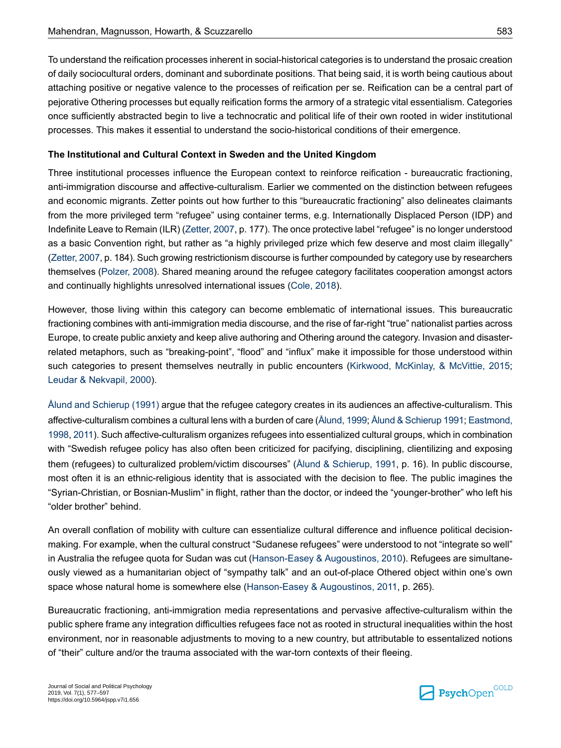To understand the reification processes inherent in social-historical categories is to understand the prosaic creation of daily sociocultural orders, dominant and subordinate positions. That being said, it is worth being cautious about attaching positive or negative valence to the processes of reification per se. Reification can be a central part of pejorative Othering processes but equally reification forms the armory of a strategic vital essentialism. Categories once sufficiently abstracted begin to live a technocratic and political life of their own rooted in wider institutional processes. This makes it essential to understand the socio-historical conditions of their emergence.

#### **The Institutional and Cultural Context in Sweden and the United Kingdom**

Three institutional processes influence the European context to reinforce reification - bureaucratic fractioning, anti-immigration discourse and affective-culturalism. Earlier we commented on the distinction between refugees and economic migrants. Zetter points out how further to this "bureaucratic fractioning" also delineates claimants from the more privileged term "refugee" using container terms, e.g. Internationally Displaced Person (IDP) and Indefinite Leave to Remain (ILR) ([Zetter,](#page-21-6) 2007, p. 177). The once protective label "refugee" is no longer understood as a basic Convention right, but rather as "a highly privileged prize which few deserve and most claim illegally" (Zetter, 2007, p. 184). Such growing restrictionism discourse is further compounded by category use by researchers themselves ([Polzer,](#page-21-13) 2008). Shared meaning around the refugee category facilitates cooperation amongst actors and continually highlights unresolved international issues ([Cole,](#page-19-12) 2018).

However, those living within this category can become emblematic of international issues. This bureaucratic fractioning combines with anti-immigration media discourse, and the rise of far-right "true" nationalist parties across Europe, to create public anxiety and keep alive authoring and Othering around the category. Invasion and disasterrelated metaphors, such as "breaking-point", "flood" and "influx" make it impossible for those understood within such categories to present themselves neutrally in public encounters ([Kirkwood,](#page-20-14) McKinlay, & McVittie, 2015; Leudar & [Nekvapil,](#page-20-15) 2000).

Ålund and [Schierup](#page-18-1) (1991) argue that the refugee category creates in its audiences an affective-culturalism. This affective-culturalism combines a cultural lens with a burden of care (Ålund, 1999; Ålund & Schierup 1991; [Eastmond,](#page-19-5) [1998](#page-19-5), [2011](#page-19-6)). Such affective-culturalism organizes refugees into essentialized cultural groups, which in combination with "Swedish refugee policy has also often been criticized for pacifying, disciplining, clientilizing and exposing them (refugees) to culturalized problem/victim discourses" (Ålund & [Schierup,](#page-18-1) 1991, p. 16). In public discourse, most often it is an ethnic-religious identity that is associated with the decision to flee. The public imagines the "Syrian-Christian, or Bosnian-Muslim" in flight, rather than the doctor, or indeed the "younger-brother" who left his "older brother" behind.

An overall conflation of mobility with culture can essentialize cultural difference and influence political decisionmaking. For example, when the cultural construct "Sudanese refugees" were understood to not "integrate so well" in Australia the refugee quota for Sudan was cut ([Hanson-Easey](#page-19-13) & Augoustinos, 2010). Refugees are simultaneously viewed as a humanitarian object of "sympathy talk" and an out-of-place Othered object within one's own space whose natural home is somewhere else [\(Hanson-Easey](#page-19-4) & Augoustinos, 2011, p. 265).

Bureaucratic fractioning, anti-immigration media representations and pervasive affective-culturalism within the public sphere frame any integration difficulties refugees face not as rooted in structural inequalities within the host environment, nor in reasonable adjustments to moving to a new country, but attributable to essentalized notions of "their" culture and/or the trauma associated with the war-torn contexts of their fleeing.

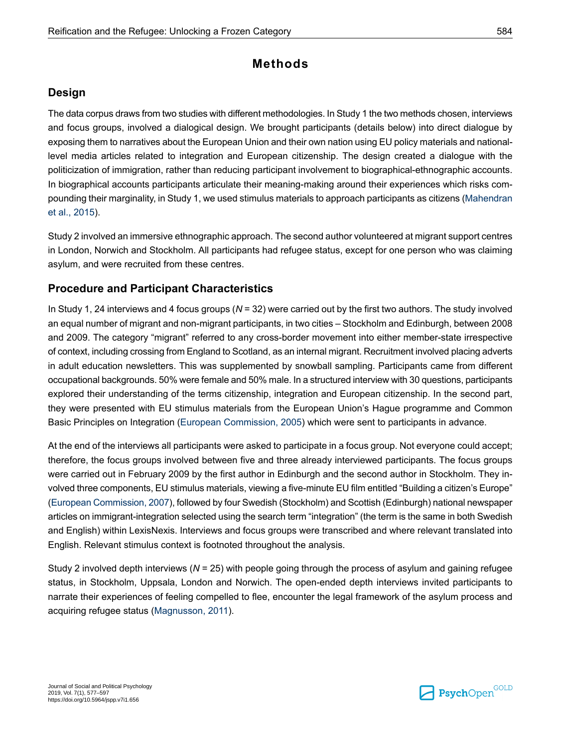# **Methods**

# **Design**

The data corpus draws from two studies with different methodologies. In Study 1 the two methods chosen, interviews and focus groups, involved a dialogical design. We brought participants (details below) into direct dialogue by exposing them to narratives about the European Union and their own nation using EU policy materials and nationallevel media articles related to integration and European citizenship. The design created a dialogue with the politicization of immigration, rather than reducing participant involvement to biographical-ethnographic accounts. In biographical accounts participants articulate their meaning-making around their experiences which risks compounding their marginality, in Study 1, we used stimulus materials to approach participants as citizens ([Mahendran](#page-20-2) et al., [2015](#page-20-2)).

Study 2 involved an immersive ethnographic approach. The second author volunteered at migrant support centres in London, Norwich and Stockholm. All participants had refugee status, except for one person who was claiming asylum, and were recruited from these centres.

# **Procedure and Participant Characteristics**

In Study 1, 24 interviews and 4 focus groups (*N* = 32) were carried out by the first two authors. The study involved an equal number of migrant and non-migrant participants, in two cities – Stockholm and Edinburgh, between 2008 and 2009. The category "migrant" referred to any cross-border movement into either member-state irrespective of context, including crossing from England to Scotland, as an internal migrant. Recruitment involved placing adverts in adult education newsletters. This was supplemented by snowball sampling. Participants came from different occupational backgrounds. 50% were female and 50% male. In a structured interview with 30 questions, participants explored their understanding of the terms citizenship, integration and European citizenship. In the second part, they were presented with EU stimulus materials from the European Union's Hague programme and Common Basic Principles on Integration (European [Commission,](#page-19-14) 2005) which were sent to participants in advance.

At the end of the interviews all participants were asked to participate in a focus group. Not everyone could accept; therefore, the focus groups involved between five and three already interviewed participants. The focus groups were carried out in February 2009 by the first author in Edinburgh and the second author in Stockholm. They involved three components, EU stimulus materials, viewing a five-minute EU film entitled "Building a citizen's Europe" (European Commission, 2007), followed by four Swedish (Stockholm) and Scottish (Edinburgh) national newspaper articles on immigrant-integration selected using the search term "integration" (the term is the same in both Swedish and English) within LexisNexis. Interviews and focus groups were transcribed and where relevant translated into English. Relevant stimulus context is footnoted throughout the analysis.

Study 2 involved depth interviews (*N* = 25) with people going through the process of asylum and gaining refugee status, in Stockholm, Uppsala, London and Norwich. The open-ended depth interviews invited participants to narrate their experiences of feeling compelled to flee, encounter the legal framework of the asylum process and acquiring refugee status ([Magnusson,](#page-20-16) 2011).

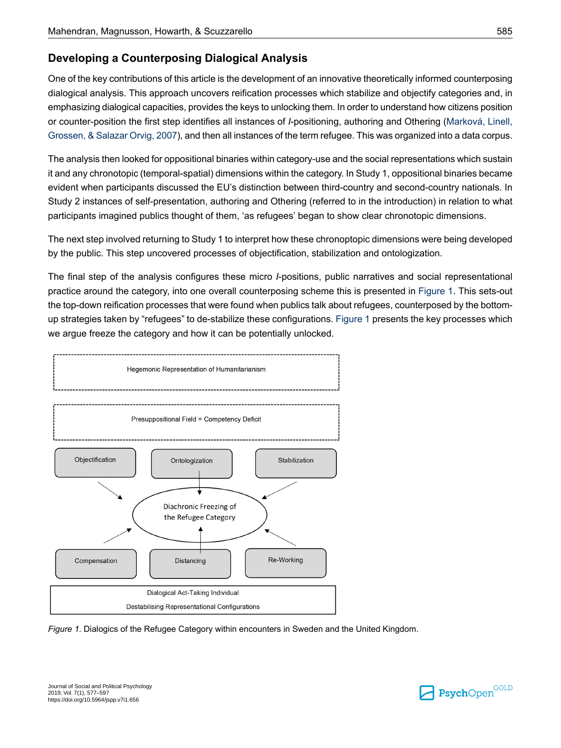# **Developing a Counterposing Dialogical Analysis**

One of the key contributions of this article is the development of an innovative theoretically informed counterposing dialogical analysis. This approach uncovers reification processes which stabilize and objectify categories and, in emphasizing dialogical capacities, provides the keys to unlocking them. In order to understand how citizens position or counter-position the first step identifies all instances of *I*-positioning, authoring and Othering [\(Marková,](#page-20-17) Linell, [Grossen,](#page-20-17) & Salazar Orvig, 2007), and then all instances of the term refugee. This was organized into a data corpus.

The analysis then looked for oppositional binaries within category-use and the social representations which sustain it and any chronotopic (temporal-spatial) dimensions within the category. In Study 1, oppositional binaries became evident when participants discussed the EU's distinction between third-country and second-country nationals. In Study 2 instances of self-presentation, authoring and Othering (referred to in the introduction) in relation to what participants imagined publics thought of them, 'as refugees' began to show clear chronotopic dimensions.

The next step involved returning to Study 1 to interpret how these chronoptopic dimensions were being developed by the public. This step uncovered processes of objectification, stabilization and ontologization.

The final step of the analysis configures these micro *I*-positions, public narratives and social representational practice around the category, into one overall counterposing scheme this is presented in [Figure](#page-9-0) 1. This sets-out the top-down reification processes that were found when publics talk about refugees, counterposed by the bottomup strategies taken by "refugees" to de-stabilize these configurations. [Figure](#page-9-0) 1 presents the key processes which we argue freeze the category and how it can be potentially unlocked.

<span id="page-9-0"></span>



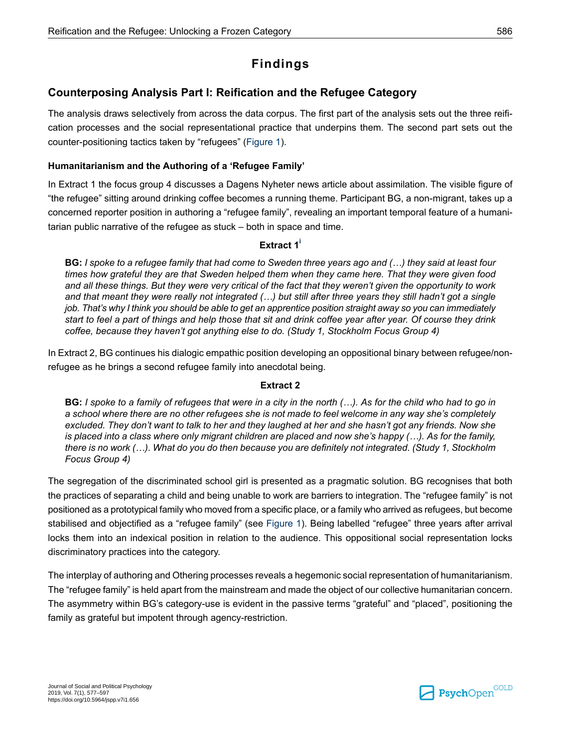# **Findings**

# **Counterposing Analysis Part I: Reification and the Refugee Category**

The analysis draws selectively from across the data corpus. The first part of the analysis sets out the three reification processes and the social representational practice that underpins them. The second part sets out the counter-positioning tactics taken by "refugees" ([Figure](#page-9-0) 1).

#### **Humanitarianism and the Authoring of a 'Refugee Family'**

In Extract 1 the focus group 4 discusses a Dagens Nyheter news article about assimilation. The visible figure of "the refugee" sitting around drinking coffee becomes a running theme. Participant BG, a non-migrant, takes up a concerned reporter position in authoring a "refugee family", revealing an important temporal feature of a humanitarian public narrative of the refugee as stuck – both in space and time.

#### **Extract 1 [i](#page-17-0)**

BG: I spoke to a refugee family that had come to Sweden three years ago and (...) they said at least four *times how grateful they are that Sweden helped them when they came here. That they were given food* and all these things. But they were very critical of the fact that they weren't given the opportunity to work and that meant they were really not integrated (...) but still after three years they still hadn't got a single *job. That's why I think you should be able to get an apprentice position straight away so you can immediately* start to feel a part of things and help those that sit and drink coffee year after year. Of course they drink *coffee, because they haven't got anything else to do. (Study 1, Stockholm Focus Group 4)*

In Extract 2, BG continues his dialogic empathic position developing an oppositional binary between refugee/nonrefugee as he brings a second refugee family into anecdotal being.

#### **Extract 2**

BG: I spoke to a family of refugees that were in a city in the north (...). As for the child who had to go in a school where there are no other refugees she is not made to feel welcome in any way she's completely excluded. They don't want to talk to her and they laughed at her and she hasn't got any friends. Now she is placed into a class where only migrant children are placed and now she's happy  $(...)$ . As for the family, there is no work (...). What do you do then because you are definitely not integrated. (Study 1, Stockholm *Focus Group 4)*

The segregation of the discriminated school girl is presented as a pragmatic solution. BG recognises that both the practices of separating a child and being unable to work are barriers to integration. The "refugee family" is not positioned as a prototypical family who moved from a specific place, or a family who arrived as refugees, but become stabilised and objectified as a "refugee family" (see [Figure](#page-9-0) 1). Being labelled "refugee" three years after arrival locks them into an indexical position in relation to the audience. This oppositional social representation locks discriminatory practices into the category.

The interplay of authoring and Othering processes reveals a hegemonic social representation of humanitarianism. The "refugee family" is held apart from the mainstream and made the object of our collective humanitarian concern. The asymmetry within BG's category-use is evident in the passive terms "grateful" and "placed", positioning the family as grateful but impotent through agency-restriction.

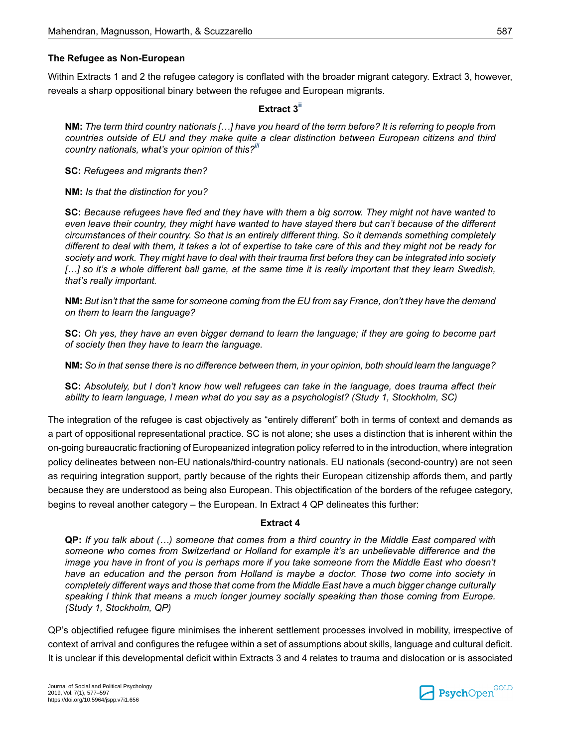#### **The Refugee as Non-European**

Within Extracts 1 and 2 the refugee category is conflated with the broader migrant category. Extract 3, however, reveals a sharp oppositional binary between the refugee and European migrants.

#### **Extract 3 [ii](#page-18-7)**

NM: The term third country nationals [...] have you heard of the term before? It is referring to people from *countries outside of EU and they make quite a clear distinction between European citizens and third country nationals, what's your opinion of this?[iii](#page-18-8)*

**SC:** *Refugees and migrants then?*

**NM:** *Is that the distinction for you?*

SC: Because refugees have fled and they have with them a big sorrow. They might not have wanted to even leave their country, they might have wanted to have staved there but can't because of the different *circumstances of their country. So that is an entirely different thing. So it demands something completely* different to deal with them, it takes a lot of expertise to take care of this and they might not be ready for society and work. They might have to deal with their trauma first before they can be integrated into society [...] so it's a whole different ball game, at the same time it is really important that they learn Swedish, *that's really important.*

NM: But isn't that the same for someone coming from the EU from say France, don't they have the demand *on them to learn the language?*

SC: Oh yes, they have an even bigger demand to learn the language; if they are going to become part *of society then they have to learn the language.*

NM: So in that sense there is no difference between them, in your opinion, both should learn the language?

SC: Absolutely, but I don't know how well refugees can take in the language, does trauma affect their *ability to learn language, I mean what do you say as a psychologist? (Study 1, Stockholm, SC)*

The integration of the refugee is cast objectively as "entirely different" both in terms of context and demands as a part of oppositional representational practice. SC is not alone; she uses a distinction that is inherent within the on-going bureaucratic fractioning of Europeanized integration policy referred to in the introduction, where integration policy delineates between non-EU nationals/third-country nationals. EU nationals (second-country) are not seen as requiring integration support, partly because of the rights their European citizenship affords them, and partly because they are understood as being also European. This objectification of the borders of the refugee category, begins to reveal another category – the European. In Extract 4 QP delineates this further:

#### **Extract 4**

QP: If you talk about (...) someone that comes from a third country in the Middle East compared with *someone who comes from Switzerland or Holland for example it's an unbelievable difference and the* image you have in front of you is perhaps more if you take someone from the Middle East who doesn't *have an education and the person from Holland is maybe a doctor. Those two come into society in completelydifferent waysandthosethat comefrom the Middle Easthavea muchbigger changeculturally speaking I think that means a much longer journey socially speaking than those coming from Europe. (Study 1, Stockholm, QP)*

QP's objectified refugee figure minimises the inherent settlement processes involved in mobility, irrespective of context of arrival and configures the refugee within a set of assumptions about skills, language and cultural deficit. It is unclear if this developmental deficit within Extracts 3 and 4 relates to trauma and dislocation or is associated

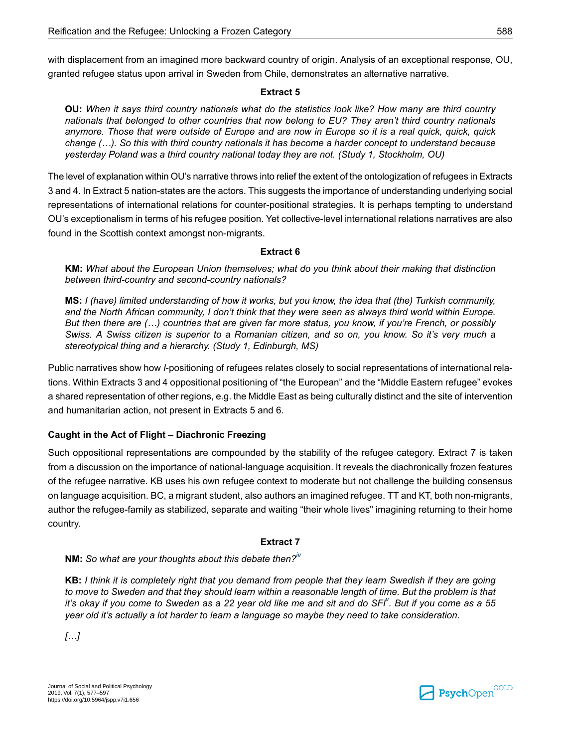with displacement from an imagined more backward country of origin. Analysis of an exceptional response, OU, granted refugee status upon arrival in Sweden from Chile, demonstrates an alternative narrative.

#### **Extract 5**

OU: When it says third country nationals what do the statistics look like? How many are third country *nationals that belonged to other countries that now belong to EU? They aren't third country nationals* anymore. Those that were outside of Europe and are now in Europe so it is a real quick, quick, quick *change (…). So this with third country nationals it has become a harder concept to understand because yesterday Poland was a third country national today they are not. (Study 1, Stockholm, OU)*

The level of explanation within OU's narrative throws into relief the extent of the ontologization of refugees in Extracts 3 and 4. In Extract 5 nation-states are the actors. This suggests the importance of understanding underlying social representations of international relations for counter-positional strategies. It is perhaps tempting to understand OU's exceptionalism in terms of his refugee position. Yet collective-level international relations narratives are also found in the Scottish context amongst non-migrants.

#### **Extract 6**

**KM:** *What about the European Union themselves; what do you think about their making that distinction between third-country and second-country nationals?*

MS: I (have) limited understanding of how it works, but you know, the idea that (the) Turkish community, and the North African community, I don't think that they were seen as always third world within Europe. But then there are (...) countries that are given far more status, you know, if you're French, or possibly Swiss. A Swiss citizen is superior to a Romanian citizen, and so on, you know. So it's very much a *stereotypical thing and a hierarchy. (Study 1, Edinburgh, MS)*

Public narratives show how *I*-positioning of refugees relates closely to social representations of international relations. Within Extracts 3 and 4 oppositional positioning of "the European" and the "Middle Eastern refugee" evokes a shared representation of other regions, e.g. the Middle East as being culturally distinct and the site of intervention and humanitarian action, not present in Extracts 5 and 6.

#### **Caught in the Act of Flight – Diachronic Freezing**

Such oppositional representations are compounded by the stability of the refugee category. Extract 7 is taken from a discussion on the importance of national-language acquisition. It reveals the diachronically frozen features of the refugee narrative. KB uses his own refugee context to moderate but not challenge the building consensus on language acquisition. BC, a migrant student, also authors an imagined refugee. TT and KT, both non-migrants, author the refugee-family as stabilized, separate and waiting "their whole lives" imagining returning to their home country.

#### **Extract 7**

**NM:** *So what are your thoughts about this debate then?[iv](#page-18-9)*

KB: I think it is completely right that you demand from people that they learn Swedish if they are going to move to Sweden and that they should learn within a reasonable length of time. But the problem is that it's okay if you come to Sweden as a 22 year old like me and sit and do SFI<sup>V</sup>. But if you come as a 55 *year old it's actually a lot harder to learn a language so maybe they need to take consideration.*

*[…]*

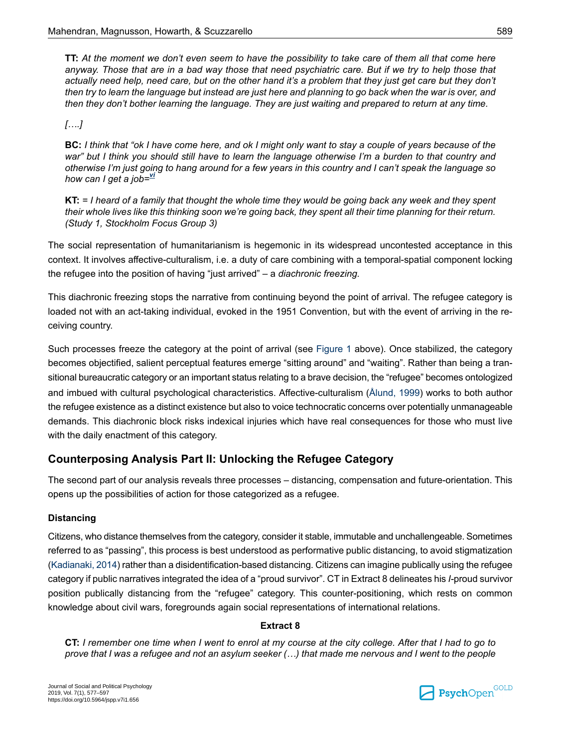TT: At the moment we don't even seem to have the possibility to take care of them all that come here anyway. Those that are in a bad way those that need psychiatric care. But if we try to help those that actually need help, need care, but on the other hand it's a problem that they just get care but they don't then try to learn the language but instead are just here and planning to go back when the war is over, and then they don't bother learning the language. They are just waiting and prepared to return at any time.

*[….]*

BC: I think that "ok I have come here, and ok I might only want to stay a couple of years because of the war" but I think you should still have to learn the language otherwise I'm a burden to that country and otherwise I'm just going to hang around for a few years in this country and I can't speak the language so *how can I get a job=[vi](#page-18-11)*

 $KT = I$  heard of a family that thought the whole time they would be going back any week and they spent their whole lives like this thinking soon we're going back, they spent all their time planning for their return. *(Study 1, Stockholm Focus Group 3)*

The social representation of humanitarianism is hegemonic in its widespread uncontested acceptance in this context. It involves affective-culturalism, i.e. a duty of care combining with a temporal-spatial component locking the refugee into the position of having "just arrived" – a *diachronic freezing.*

This diachronic freezing stops the narrative from continuing beyond the point of arrival. The refugee category is loaded not with an act-taking individual, evoked in the 1951 Convention, but with the event of arriving in the receiving country.

Such processes freeze the category at the point of arrival (see [Figure](#page-9-0) 1 above). Once stabilized, the category becomes objectified, salient perceptual features emerge "sitting around" and "waiting". Rather than being a transitional bureaucratic category or an important status relating to a brave decision, the "refugee" becomes ontologized and imbued with cultural psychological characteristics. Affective-culturalism [\(Ålund,](#page-18-0) 1999) works to both author the refugee existence as a distinct existence but also to voice technocratic concerns over potentially unmanageable demands. This diachronic block risks indexical injuries which have real consequences for those who must live with the daily enactment of this category.

# **Counterposing Analysis Part II: Unlocking the Refugee Category**

The second part of our analysis reveals three processes – distancing, compensation and future-orientation. This opens up the possibilities of action for those categorized as a refugee.

#### **Distancing**

Citizens, who distance themselves from the category, consider it stable, immutable and unchallengeable. Sometimes referred to as "passing", this process is best understood as performative public distancing, to avoid stigmatization [\(Kadianaki,](#page-20-12) 2014) rather than a disidentification-based distancing. Citizens can imagine publically using the refugee category if public narratives integrated the idea of a "proud survivor". CT in Extract 8 delineates his *I-*proud survivor position publically distancing from the "refugee" category. This counter-positioning, which rests on common knowledge about civil wars, foregrounds again social representations of international relations.

#### **Extract 8**

CT: I remember one time when I went to enrol at my course at the city college. After that I had to go to prove that I was a refugee and not an asylum seeker (...) that made me nervous and I went to the people

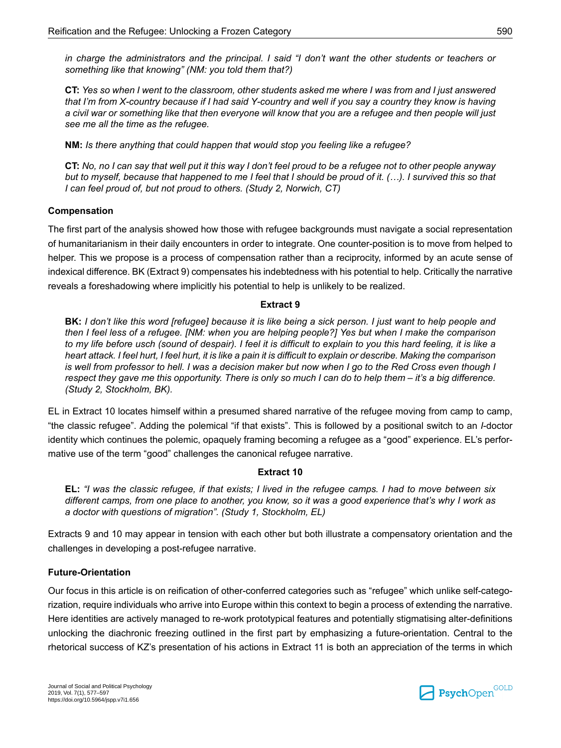in charge the administrators and the principal. I said "I don't want the other students or teachers or *something like that knowing" (NM: you told them that?)*

CT: Yes so when I went to the classroom, other students asked me where I was from and I just answered that I'm from X-country because if I had said Y-country and well if you say a country they know is having a civil war or something like that then everyone will know that you are a refugee and then people will just *see me all the time as the refugee.*

**NM:** *Is there anything that could happen that would stop you feeling like a refugee?*

CT: No, no I can say that well put it this way I don't feel proud to be a refugee not to other people anyway but to myself, because that happened to me I feel that I should be proud of it. (...). I survived this so that *I can feel proud of, but not proud to others. (Study 2, Norwich, CT)*

#### **Compensation**

The first part of the analysis showed how those with refugee backgrounds must navigate a social representation of humanitarianism in their daily encounters in order to integrate. One counter-position is to move from helped to helper. This we propose is a process of compensation rather than a reciprocity, informed by an acute sense of indexical difference. BK (Extract 9) compensates his indebtedness with his potential to help. Critically the narrative reveals a foreshadowing where implicitly his potential to help is unlikely to be realized.

#### **Extract 9**

**BK:** I don't like this word [refugee] because it is like being a sick person. I just want to help people and then I feel less of a refugee. [NM: when you are helping people?] Yes but when I make the comparison to my life before usch (sound of despair). I feel it is difficult to explain to you this hard feeling, it is like a heart attack. I feel hurt, I feel hurt, it is like a pain it is difficult to explain or describe. Making the comparison is well from professor to hell. I was a decision maker but now when I go to the Red Cross even though I respect they gave me this opportunity. There is only so much I can do to help them – it's a big difference. *(Study 2, Stockholm, BK).*

EL in Extract 10 locates himself within a presumed shared narrative of the refugee moving from camp to camp, "the classic refugee". Adding the polemical "if that exists". This is followed by a positional switch to an *I*-doctor identity which continues the polemic, opaquely framing becoming a refugee as a "good" experience. EL's performative use of the term "good" challenges the canonical refugee narrative.

#### **Extract 10**

EL: "I was the classic refugee, if that exists; I lived in the refugee camps. I had to move between six different camps, from one place to another, you know, so it was a good experience that's why I work as *a doctor with questions of migration". (Study 1, Stockholm, EL)*

Extracts 9 and 10 may appear in tension with each other but both illustrate a compensatory orientation and the challenges in developing a post-refugee narrative.

#### **Future-Orientation**

Our focus in this article is on reification of other-conferred categories such as "refugee" which unlike self-categorization, require individuals who arrive into Europe within this context to begin a process of extending the narrative. Here identities are actively managed to re-work prototypical features and potentially stigmatising alter-definitions unlocking the diachronic freezing outlined in the first part by emphasizing a future-orientation. Central to the rhetorical success of KZ's presentation of his actions in Extract 11 is both an appreciation of the terms in which

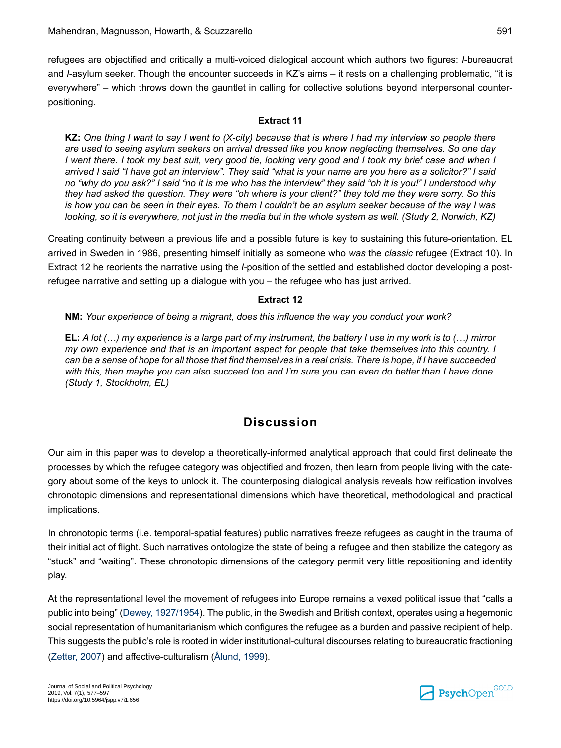refugees are objectified and critically a multi-voiced dialogical account which authors two figures: *I*-bureaucrat and *I*-asylum seeker. Though the encounter succeeds in KZ's aims – it rests on a challenging problematic, "it is everywhere" – which throws down the gauntlet in calling for collective solutions beyond interpersonal counterpositioning.

#### **Extract 11**

KZ: One thing I want to say I went to (X-city) because that is where I had my interview so people there *are used to seeing asylum seekers on arrival dressed like you know neglecting themselves. So one day* I went there. I took my best suit, very good tie, looking very good and I took my brief case and when I arrived I said "I have got an interview". They said "what is your name are you here as a solicitor?" I said no "why do you ask?" I said "no it is me who has the interview" they said "oh it is you!" I understood why they had asked the question. They were "oh where is your client?" they told me they were sorry. So this is how you can be seen in their eyes. To them I couldn't be an asylum seeker because of the way I was looking, so it is everywhere, not just in the media but in the whole system as well. (Study 2, Norwich, KZ)

Creating continuity between a previous life and a possible future is key to sustaining this future-orientation. EL arrived in Sweden in 1986, presenting himself initially as someone who *was* the *classic* refugee (Extract 10). In Extract 12 he reorients the narrative using the *I-*position of the settled and established doctor developing a postrefugee narrative and setting up a dialogue with you – the refugee who has just arrived.

#### **Extract 12**

**NM:** *Your experience of being a migrant, does this influence the way you conduct your work?*

EL: A lot  $(...)$  my experience is a large part of my instrument, the battery I use in my work is to  $(...)$  mirror my own experience and that is an important aspect for people that take themselves into this country. I can be a sense of hope for all those that find themselves in a real crisis. There is hope, if I have succeeded with this, then maybe you can also succeed too and I'm sure you can even do better than I have done. *(Study 1, Stockholm, EL)*

# **Discussion**

Our aim in this paper was to develop a theoretically-informed analytical approach that could first delineate the processes by which the refugee category was objectified and frozen, then learn from people living with the category about some of the keys to unlock it. The counterposing dialogical analysis reveals how reification involves chronotopic dimensions and representational dimensions which have theoretical, methodological and practical implications.

In chronotopic terms (i.e. temporal-spatial features) public narratives freeze refugees as caught in the trauma of their initial act of flight. Such narratives ontologize the state of being a refugee and then stabilize the category as "stuck" and "waiting". These chronotopic dimensions of the category permit very little repositioning and identity play.

At the representational level the movement of refugees into Europe remains a vexed political issue that "calls a public into being" (Dewey, [1927/1954\)](#page-19-16). The public, in the Swedish and British context, operates using a hegemonic social representation of humanitarianism which configures the refugee as a burden and passive recipient of help. This suggests the public's role is rooted in wider institutional-cultural discourses relating to bureaucratic fractioning [\(Zetter,](#page-21-6) 2007) and affective-culturalism [\(Ålund,](#page-18-0) 1999).

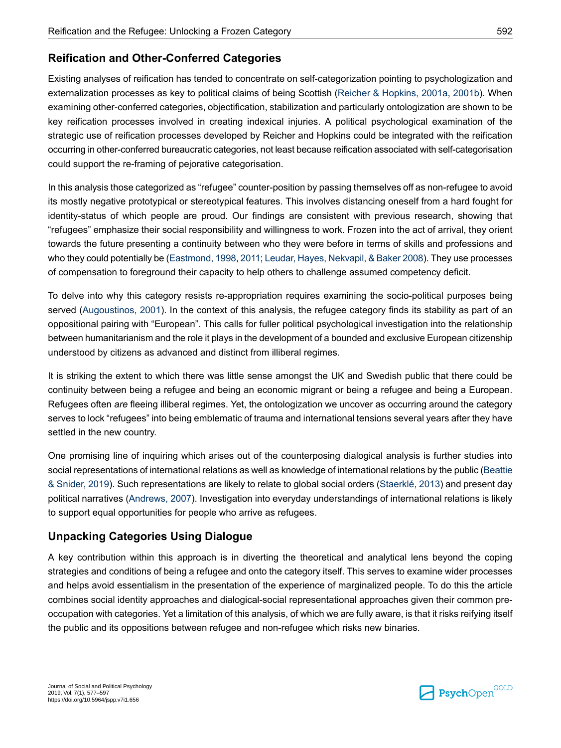# **Reification and Other-Conferred Categories**

Existing analyses of reification has tended to concentrate on self-categorization pointing to psychologization and externalization processes as key to political claims of being Scottish (Reicher & [Hopkins,](#page-21-4) 2001a, [2001b](#page-21-5)). When examining other-conferred categories, objectification, stabilization and particularly ontologization are shown to be key reification processes involved in creating indexical injuries. A political psychological examination of the strategic use of reification processes developed by Reicher and Hopkins could be integrated with the reification occurring in other-conferred bureaucratic categories, not least because reification associated with self-categorisation could support the re-framing of pejorative categorisation.

In this analysis those categorized as "refugee" counter-position by passing themselves off as non-refugee to avoid its mostly negative prototypical or stereotypical features. This involves distancing oneself from a hard fought for identity-status of which people are proud. Our findings are consistent with previous research, showing that "refugees" emphasize their social responsibility and willingness to work. Frozen into the act of arrival, they orient towards the future presenting a continuity between who they were before in terms of skills and professions and who they could potentially be (Eastmond, 1998, [2011;](#page-19-6) Leudar, Hayes, Nekvapil, & Baker 2008). They use processes of compensation to foreground their capacity to help others to challenge assumed competency deficit.

To delve into why this category resists re-appropriation requires examining the socio-political purposes being served ([Augoustinos,](#page-18-6) 2001). In the context of this analysis, the refugee category finds its stability as part of an oppositional pairing with "European". This calls for fuller political psychological investigation into the relationship between humanitarianism and the role it plays in the development of a bounded and exclusive European citizenship understood by citizens as advanced and distinct from illiberal regimes.

It is striking the extent to which there was little sense amongst the UK and Swedish public that there could be continuity between being a refugee and being an economic migrant or being a refugee and being a European. Refugees often *are* fleeing illiberal regimes. Yet, the ontologization we uncover as occurring around the category serves to lock "refugees" into being emblematic of trauma and international tensions several years after they have settled in the new country.

One promising line of inquiring which arises out of the counterposing dialogical analysis is further studies into social representations of international relations as well as knowledge of international relations by the public ([Beattie](#page-18-2) & [Snider,](#page-18-2) 2019). Such representations are likely to relate to global social orders [\(Staerklé,](#page-21-7) 2013) and present day political narratives ([Andrews,](#page-18-12) 2007). Investigation into everyday understandings of international relations is likely to support equal opportunities for people who arrive as refugees.

# **Unpacking Categories Using Dialogue**

A key contribution within this approach is in diverting the theoretical and analytical lens beyond the coping strategies and conditions of being a refugee and onto the category itself. This serves to examine wider processes and helps avoid essentialism in the presentation of the experience of marginalized people. To do this the article combines social identity approaches and dialogical-social representational approaches given their common preoccupation with categories. Yet a limitation of this analysis, of which we are fully aware, is that it risks reifying itself the public and its oppositions between refugee and non-refugee which risks new binaries.

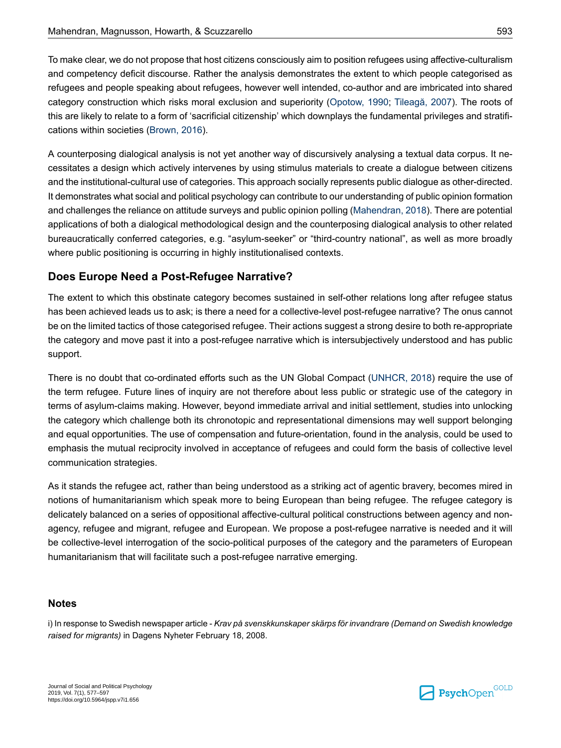To make clear, we do not propose that host citizens consciously aim to position refugees using affective-culturalism and competency deficit discourse. Rather the analysis demonstrates the extent to which people categorised as refugees and people speaking about refugees, however well intended, co-author and are imbricated into shared category construction which risks moral exclusion and superiority [\(Opotow,](#page-20-13) 1990; [Tileagă,](#page-21-12) 2007). The roots of this are likely to relate to a form of 'sacrificial citizenship' which downplays the fundamental privileges and stratifications within societies ([Brown,](#page-19-17) 2016).

A counterposing dialogical analysis is not yet another way of discursively analysing a textual data corpus. It necessitates a design which actively intervenes by using stimulus materials to create a dialogue between citizens and the institutional-cultural use of categories. This approach socially represents public dialogue as other-directed. It demonstrates what social and political psychology can contribute to our understanding of public opinion formation and challenges the reliance on attitude surveys and public opinion polling [\(Mahendran,](#page-20-1) 2018). There are potential applications of both a dialogical methodological design and the counterposing dialogical analysis to other related bureaucratically conferred categories, e.g. "asylum-seeker" or "third-country national", as well as more broadly where public positioning is occurring in highly institutionalised contexts.

# **Does Europe Need a Post-Refugee Narrative?**

The extent to which this obstinate category becomes sustained in self-other relations long after refugee status has been achieved leads us to ask; is there a need for a collective-level post-refugee narrative? The onus cannot be on the limited tactics of those categorised refugee. Their actions suggest a strong desire to both re-appropriate the category and move past it into a post-refugee narrative which is intersubjectively understood and has public support.

There is no doubt that co-ordinated efforts such as the UN Global Compact [\(UNHCR,](#page-21-1) 2018) require the use of the term refugee. Future lines of inquiry are not therefore about less public or strategic use of the category in terms of asylum-claims making. However, beyond immediate arrival and initial settlement, studies into unlocking the category which challenge both its chronotopic and representational dimensions may well support belonging and equal opportunities. The use of compensation and future-orientation, found in the analysis, could be used to emphasis the mutual reciprocity involved in acceptance of refugees and could form the basis of collective level communication strategies.

As it stands the refugee act, rather than being understood as a striking act of agentic bravery, becomes mired in notions of humanitarianism which speak more to being European than being refugee. The refugee category is delicately balanced on a series of oppositional affective-cultural political constructions between agency and nonagency, refugee and migrant, refugee and European. We propose a post-refugee narrative is needed and it will be collective-level interrogation of the socio-political purposes of the category and the parameters of European humanitarianism that will facilitate such a post-refugee narrative emerging.

# <span id="page-17-0"></span>**Notes**

i) In response to Swedish newspaper article - *Krav på svenskkunskaper skärps för invandrare (Demand on Swedish knowledge raised for migrants)* in Dagens Nyheter February 18, 2008.

$$
\blacksquare\ \text{PsychOpen}^{\text{GOLD}}
$$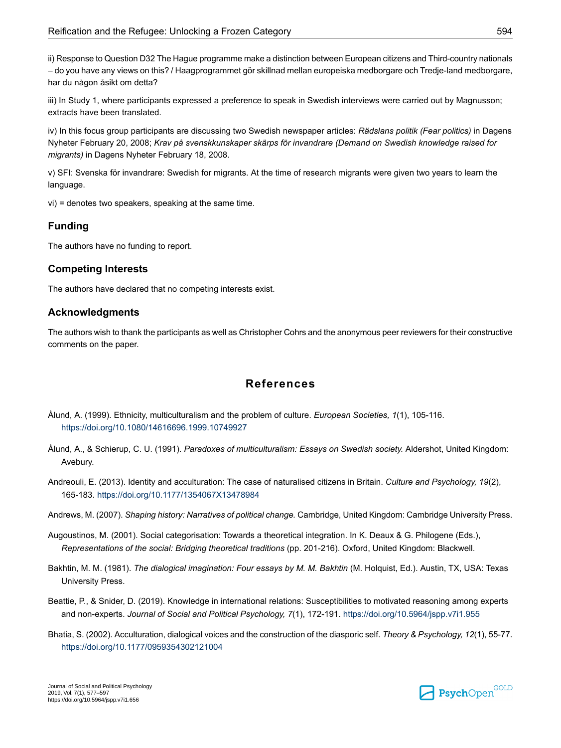<span id="page-18-7"></span>ii) Response to Question D32 The Hague programme make a distinction between European citizens and Third-country nationals – do you have any views on this? / Haagprogrammet gör skillnad mellan europeiska medborgare och Tredje-land medborgare, har du någon åsikt om detta?

<span id="page-18-8"></span>iii) In Study 1, where participants expressed a preference to speak in Swedish interviews were carried out by Magnusson; extracts have been translated.

<span id="page-18-9"></span>iv) In this focus group participants are discussing two Swedish newspaper articles: *Rädslans politik (Fear politics)* in Dagens Nyheter February 20, 2008; *Krav på svenskkunskaper skärps för invandrare (Demand on Swedish knowledge raised for migrants)* in Dagens Nyheter February 18, 2008.

<span id="page-18-11"></span><span id="page-18-10"></span>v) SFI: Svenska för invandrare: Swedish for migrants. At the time of research migrants were given two years to learn the language.

vi) = denotes two speakers, speaking at the same time.

#### **Funding**

The authors have no funding to report.

#### **Competing Interests**

The authors have declared that no competing interests exist.

#### **Acknowledgments**

<span id="page-18-0"></span>The authors wish to thank the participants as well as Christopher Cohrs and the anonymous peer reviewers for their constructive comments on the paper.

# **References**

- <span id="page-18-1"></span>Ålund, A. (1999). Ethnicity, multiculturalism and the problem of culture. *European Societies, 1*(1), 105-116. [https://doi.org/10.1080/14616696.1999.10749927](https://doi.org/10.1080%2F14616696.1999.10749927)
- <span id="page-18-12"></span><span id="page-18-4"></span>Ålund, A., & Schierup, C. U. (1991). *Paradoxes of multiculturalism: Essays on Swedish society.* Aldershot, United Kingdom: Avebury.
- <span id="page-18-6"></span>Andreouli, E. (2013). Identity and acculturation: The case of naturalised citizens in Britain. *Culture and Psychology, 19*(2), 165-183. [https://doi.org/10.1177/1354067X13478984](https://doi.org/10.1177%2F1354067X13478984)
- <span id="page-18-5"></span>Andrews, M. (2007). *Shaping history: Narratives of political change.* Cambridge, United Kingdom: Cambridge University Press.
- <span id="page-18-2"></span>Augoustinos, M. (2001). Social categorisation: Towards a theoretical integration. In K. Deaux & G. Philogene (Eds.), *Representations of the social: Bridging theoretical traditions* (pp. 201-216). Oxford, United Kingdom: Blackwell.
- <span id="page-18-3"></span>Bakhtin, M. M. (1981). *The dialogical imagination: Four essays by M. M. Bakhtin* (M. Holquist, Ed.). Austin, TX, USA: Texas University Press.
- Beattie, P., & Snider, D. (2019). Knowledge in international relations: Susceptibilities to motivated reasoning among experts and non-experts. *Journal of Social and Political Psychology, 7*(1), 172-191. [https://doi.org/10.5964/jspp.v7i1.955](https://doi.org/10.5964%2Fjspp.v7i1.955)
- Bhatia, S. (2002). Acculturation, dialogical voices and the construction of the diasporic self. *Theory & Psychology, 12*(1), 55-77. [https://doi.org/10.1177/0959354302121004](https://doi.org/10.1177%2F0959354302121004)

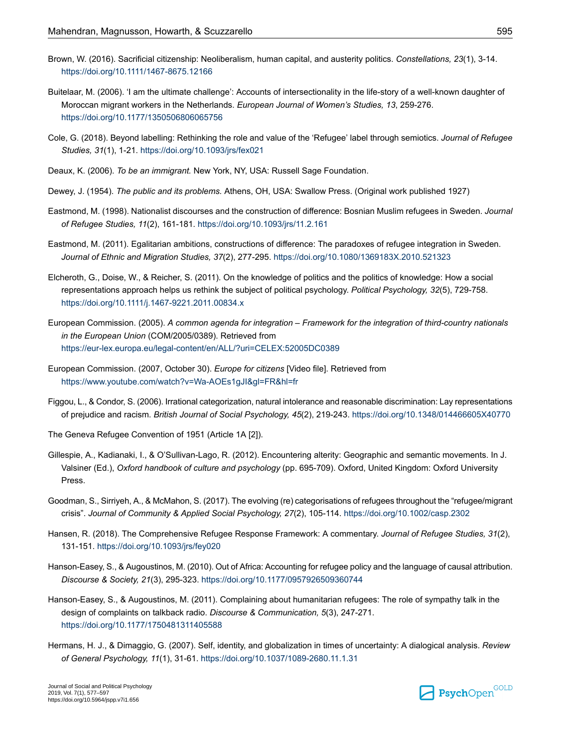- <span id="page-19-17"></span>Brown, W. (2016). Sacrificial citizenship: Neoliberalism, human capital, and austerity politics. *Constellations, 23*(1), 3-14. [https://doi.org/10.1111/1467-8675.12166](https://doi.org/10.1111%2F1467-8675.12166)
- <span id="page-19-9"></span>Buitelaar, M. (2006). 'I am the ultimate challenge': Accounts of intersectionality in the life-story of a well-known daughter of Moroccan migrant workers in the Netherlands. *European Journal of Women's Studies, 13*, 259-276. [https://doi.org/10.1177/1350506806065756](https://doi.org/10.1177%2F1350506806065756)
- <span id="page-19-12"></span><span id="page-19-8"></span>Cole, G. (2018). Beyond labelling: Rethinking the role and value of the 'Refugee' label through semiotics. *Journal of Refugee Studies, 31*(1), 1-21. [https://doi.org/10.1093/jrs/fex021](https://doi.org/10.1093%2Fjrs%2Ffex021)
- <span id="page-19-16"></span>Deaux, K. (2006). *To be an immigrant.* New York, NY, USA: Russell Sage Foundation.
- <span id="page-19-5"></span>Dewey, J. (1954). *The public and its problems.* Athens, OH, USA: Swallow Press. (Original work published 1927)
- <span id="page-19-6"></span>Eastmond, M. (1998). Nationalist discourses and the construction of difference: Bosnian Muslim refugees in Sweden. *Journal of Refugee Studies, 11*(2), 161-181. [https://doi.org/10.1093/jrs/11.2.161](https://doi.org/10.1093%2Fjrs%2F11.2.161)
- <span id="page-19-11"></span>Eastmond, M. (2011). Egalitarian ambitions, constructions of difference: The paradoxes of refugee integration in Sweden. *Journal of Ethnic and Migration Studies, 37*(2), 277-295. [https://doi.org/10.1080/1369183X.2010.521323](https://doi.org/10.1080%2F1369183X.2010.521323)
- <span id="page-19-14"></span>Elcheroth, G., Doise, W., & Reicher, S. (2011). On the knowledge of politics and the politics of knowledge: How a social representations approach helps us rethink the subject of political psychology. *Political Psychology, 32*(5), 729-758. [https://doi.org/10.1111/j.1467-9221.2011.00834.x](https://doi.org/10.1111%2Fj.1467-9221.2011.00834.x)
- <span id="page-19-15"></span>European Commission. (2005). *A common agenda for integration – Framework for the integration of third-country nationals in the European Union* (COM/2005/0389). Retrieved from <https://eur-lex.europa.eu/legal-content/en/ALL/?uri=CELEX:52005DC0389>
- <span id="page-19-3"></span>European Commission. (2007, October 30). *Europe for citizens* [Video file]. Retrieved from <https://www.youtube.com/watch?v=Wa-AOEs1gJI&gl=FR&hl=fr>
- <span id="page-19-10"></span><span id="page-19-1"></span>Figgou, L., & Condor, S. (2006). Irrational categorization, natural intolerance and reasonable discrimination: Lay representations of prejudice and racism. *British Journal of Social Psychology, 45*(2), 219-243. [https://doi.org/10.1348/014466605X40770](https://doi.org/10.1348%2F014466605X40770)
- The Geneva Refugee Convention of 1951 (Article 1A [2]).
- <span id="page-19-2"></span>Gillespie, A., Kadianaki, I., & O'Sullivan-Lago, R. (2012). Encountering alterity: Geographic and semantic movements. In J. Valsiner (Ed.), *Oxford handbook of culture and psychology* (pp. 695-709). Oxford, United Kingdom: Oxford University Press.
- <span id="page-19-13"></span><span id="page-19-0"></span>Goodman, S., Sirriyeh, A., & McMahon, S. (2017). The evolving (re) categorisations of refugees throughout the "refugee/migrant crisis". *Journal of Community & Applied Social Psychology, 27*(2), 105-114. [https://doi.org/10.1002/casp.2302](https://doi.org/10.1002%2Fcasp.2302)
- <span id="page-19-4"></span>Hansen, R. (2018). The Comprehensive Refugee Response Framework: A commentary. *Journal of Refugee Studies, 31*(2), 131-151. [https://doi.org/10.1093/jrs/fey020](https://doi.org/10.1093%2Fjrs%2Ffey020)
- <span id="page-19-7"></span>Hanson-Easey, S., & Augoustinos, M. (2010). Out of Africa: Accounting for refugee policy and the language of causal attribution. *Discourse & Society, 21*(3), 295-323. [https://doi.org/10.1177/0957926509360744](https://doi.org/10.1177%2F0957926509360744)
- Hanson-Easey, S., & Augoustinos, M. (2011). Complaining about humanitarian refugees: The role of sympathy talk in the design of complaints on talkback radio. *Discourse & Communication, 5*(3), 247-271. [https://doi.org/10.1177/1750481311405588](https://doi.org/10.1177%2F1750481311405588)
- Hermans, H. J., & Dimaggio, G. (2007). Self, identity, and globalization in times of uncertainty: A dialogical analysis. *Review of General Psychology, 11*(1), 31-61. [https://doi.org/10.1037/1089-2680.11.1.31](https://doi.org/10.1037%2F1089-2680.11.1.31)

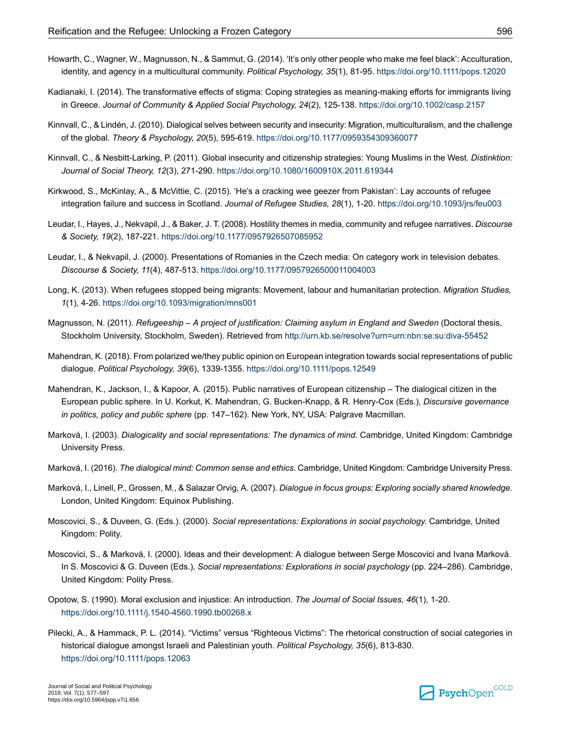- <span id="page-20-11"></span>Howarth, C., Wagner, W., Magnusson, N., & Sammut, G. (2014). 'It's only other people who make me feel black': Acculturation, identity, and agency in a multicultural community. *Political Psychology, 35*(1), 81-95. [https://doi.org/10.1111/pops.12020](https://doi.org/10.1111%2Fpops.12020)
- <span id="page-20-12"></span>Kadianaki, I. (2014). The transformative effects of stigma: Coping strategies as meaning-making efforts for immigrants living in Greece. *Journal of Community & Applied Social Psychology, 24*(2), 125-138. [https://doi.org/10.1002/casp.2157](https://doi.org/10.1002%2Fcasp.2157)
- <span id="page-20-9"></span><span id="page-20-5"></span>Kinnvall, C., & Lindén, J. (2010). Dialogical selves between security and insecurity: Migration, multiculturalism, and the challenge of the global. *Theory & Psychology, 20*(5), 595-619. [https://doi.org/10.1177/0959354309360077](https://doi.org/10.1177%2F0959354309360077)
- <span id="page-20-14"></span>Kinnvall, C., & Nesbitt-Larking, P. (2011). Global insecurity and citizenship strategies: Young Muslims in the West. *Distinktion: Journal of Social Theory, 12*(3), 271-290. [https://doi.org/10.1080/1600910X.2011.619344](https://doi.org/10.1080%2F1600910X.2011.619344)
- <span id="page-20-4"></span>Kirkwood, S., McKinlay, A., & McVittie, C. (2015). 'He's a cracking wee geezer from Pakistan': Lay accounts of refugee integration failure and success in Scotland. *Journal of Refugee Studies, 28*(1), 1-20. [https://doi.org/10.1093/jrs/feu003](https://doi.org/10.1093%2Fjrs%2Ffeu003)
- <span id="page-20-15"></span>Leudar, I., Hayes, J., Nekvapil, J., & Baker, J. T. (2008). Hostility themes in media, community and refugee narratives. *Discourse & Society, 19*(2), 187-221. [https://doi.org/10.1177/0957926507085952](https://doi.org/10.1177%2F0957926507085952)
- <span id="page-20-0"></span>Leudar, I., & Nekvapil, J. (2000). Presentations of Romanies in the Czech media: On category work in television debates. *Discourse & Society, 11*(4), 487-513. [https://doi.org/10.1177/0957926500011004003](https://doi.org/10.1177%2F0957926500011004003)
- <span id="page-20-16"></span>Long, K. (2013). When refugees stopped being migrants: Movement, labour and humanitarian protection. *Migration Studies, 1*(1), 4-26. [https://doi.org/10.1093/migration/mns001](https://doi.org/10.1093%2Fmigration%2Fmns001)
- <span id="page-20-1"></span>Magnusson, N. (2011). *Refugeeship – A project of justification: Claiming asylum in England and Sweden* (Doctoral thesis, Stockholm University, Stockholm, Sweden). Retrieved from <http://urn.kb.se/resolve?urn=urn:nbn:se:su:diva-55452>
- <span id="page-20-2"></span>Mahendran, K. (2018). From polarized we/they public opinion on European integration towards social representations of public dialogue. *Political Psychology, 39*(6), 1339-1355. [https://doi.org/10.1111/pops.12549](https://doi.org/10.1111%2Fpops.12549)
- <span id="page-20-6"></span>Mahendran, K., Jackson, I., & Kapoor, A. (2015). Public narratives of European citizenship – The dialogical citizen in the European public sphere. In U. Korkut, K. Mahendran, G. Bucken-Knapp, & R. Henry-Cox (Eds.), *Discursive governance in politics, policy and public sphere* (pp. 147–162). New York, NY, USA: Palgrave Macmillan.
- <span id="page-20-17"></span><span id="page-20-10"></span>Marková, I. (2003). *Dialogicality and social representations: The dynamics of mind.* Cambridge, United Kingdom: Cambridge University Press.
- <span id="page-20-7"></span>Marková, I. (2016). *The dialogical mind: Common sense and ethics*. Cambridge, United Kingdom: Cambridge University Press.
- <span id="page-20-8"></span>Marková, I., Linell, P., Grossen, M., & Salazar Orvig, A. (2007). *Dialogue in focus groups: Exploring socially shared knowledge.* London, United Kingdom: Equinox Publishing.
- Moscovici, S., & Duveen, G. (Eds.). (2000). *Social representations: Explorations in social psychology.* Cambridge, United Kingdom: Polity.
- <span id="page-20-13"></span><span id="page-20-3"></span>Moscovici, S., & Marková, I. (2000). Ideas and their development: A dialogue between Serge Moscovici and Ivana Marková. In S. Moscovici & G. Duveen (Eds.), *Social representations: Explorations in social psychology* (pp. 224–286). Cambridge, United Kingdom: Polity Press.
- Opotow, S. (1990). Moral exclusion and injustice: An introduction. *The Journal of Social Issues, 46*(1), 1-20. [https://doi.org/10.1111/j.1540-4560.1990.tb00268.x](https://doi.org/10.1111%2Fj.1540-4560.1990.tb00268.x)
- Pilecki, A., & Hammack, P. L. (2014). "Victims" versus "Righteous Victims": The rhetorical construction of social categories in historical dialogue amongst Israeli and Palestinian youth. *Political Psychology, 35*(6), 813-830. [https://doi.org/10.1111/pops.12063](https://doi.org/10.1111%2Fpops.12063)